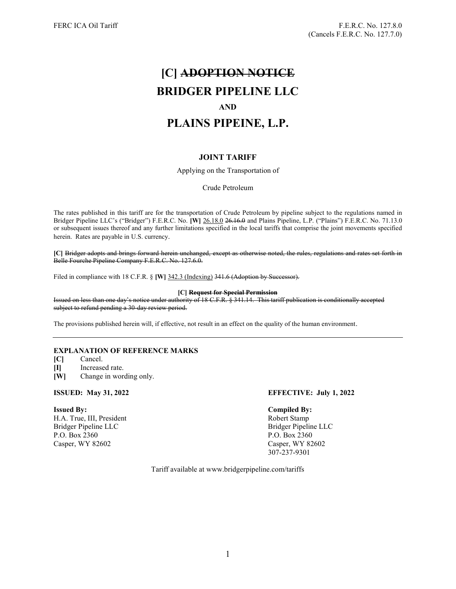# [C] ADOPTION NOTICE BRIDGER PIPELINE LLC AND PLAINS PIPEINE, L.P.

# JOINT TARIFF

Applying on the Transportation of

Crude Petroleum

The rates published in this tariff are for the transportation of Crude Petroleum by pipeline subject to the regulations named in Bridger Pipeline LLC's ("Bridger") F.E.R.C. No. [W] 26.18.0 26.16.0 and Plains Pipeline, L.P. ("Plains") F.E.R.C. No. 71.13.0 or subsequent issues thereof and any further limitations specified in the local tariffs that comprise the joint movements specified herein. Rates are payable in U.S. currency.

[C] Bridger adopts and brings forward herein unchanged, except as otherwise noted, the rules, regulations and rates set forth in Belle Fourche Pipeline Company F.E.R.C. No. 127.6.0.

Filed in compliance with 18 C.F.R. § [W] 342.3 (Indexing) 341.6 (Adoption by Successor).

### [C] Request for Special Permission

Issued on less than one day's notice under authority of 18 C.F.R. § 341.14. This tariff publication is conditionally accepted subject to refund pending a 30-day review period.

The provisions published herein will, if effective, not result in an effect on the quality of the human environment.

# EXPLANATION OF REFERENCE MARKS

- [C] Cancel.
- [I] Increased rate.
- [W] Change in wording only.

H.A. True, III, President Robert Stamp Bridger Pipeline LLC Bridger Pipeline LLC P.O. Box 2360 P.O. Box 2360 Casper, WY 82602 Casper, WY 82602

# ISSUED: May 31, 2022 EFFECTIVE: July 1, 2022

### Issued By: Compiled By:

307-237-9301

Tariff available at www.bridgerpipeline.com/tariffs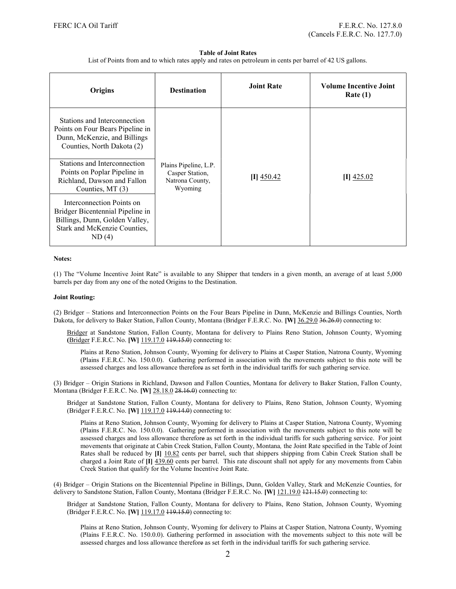### Table of Joint Rates

List of Points from and to which rates apply and rates on petroleum in cents per barrel of 42 US gallons.

| Origins                                                                                                                                  | <b>Destination</b>                                                     | <b>Joint Rate</b> | <b>Volume Incentive Joint</b><br>Rate(1) |
|------------------------------------------------------------------------------------------------------------------------------------------|------------------------------------------------------------------------|-------------------|------------------------------------------|
| Stations and Interconnection<br>Points on Four Bears Pipeline in<br>Dunn, McKenzie, and Billings<br>Counties, North Dakota (2)           |                                                                        |                   |                                          |
| Stations and Interconnection<br>Points on Poplar Pipeline in<br>Richland, Dawson and Fallon<br>Counties, MT (3)                          | Plains Pipeline, L.P.<br>Casper Station,<br>Natrona County,<br>Wyoming | $[I]$ 450.42      | $[I]$ 425.02                             |
| Interconnection Points on<br>Bridger Bicentennial Pipeline in<br>Billings, Dunn, Golden Valley,<br>Stark and McKenzie Counties,<br>ND(4) |                                                                        |                   |                                          |

#### Notes:

(1) The "Volume Incentive Joint Rate" is available to any Shipper that tenders in a given month, an average of at least 5,000 barrels per day from any one of the noted Origins to the Destination.

#### Joint Routing:

(2) Bridger – Stations and Interconnection Points on the Four Bears Pipeline in Dunn, McKenzie and Billings Counties, North Dakota, for delivery to Baker Station, Fallon County, Montana (Bridger F.E.R.C. No. [W] 36.29.0 36.26.0) connecting to:

Bridger at Sandstone Station, Fallon County, Montana for delivery to Plains Reno Station, Johnson County, Wyoming (Bridger F.E.R.C. No. [W] 119.17.0 449.45.0) connecting to:

Plains at Reno Station, Johnson County, Wyoming for delivery to Plains at Casper Station, Natrona County, Wyoming (Plains F.E.R.C. No. 150.0.0). Gathering performed in association with the movements subject to this note will be assessed charges and loss allowance therefore as set forth in the individual tariffs for such gathering service.

(3) Bridger – Origin Stations in Richland, Dawson and Fallon Counties, Montana for delivery to Baker Station, Fallon County, Montana (Bridger F.E.R.C. No. [W] 28.18.0 28.16.0) connecting to:

Bridger at Sandstone Station, Fallon County, Montana for delivery to Plains, Reno Station, Johnson County, Wyoming (Bridger F.E.R.C. No. [W] 119.17.0 449.44.0) connecting to:

Plains at Reno Station, Johnson County, Wyoming for delivery to Plains at Casper Station, Natrona County, Wyoming (Plains F.E.R.C. No. 150.0.0). Gathering performed in association with the movements subject to this note will be assessed charges and loss allowance therefore as set forth in the individual tariffs for such gathering service. For joint movements that originate at Cabin Creek Station, Fallon County, Montana, the Joint Rate specified in the Table of Joint Rates shall be reduced by [I] 10.82 cents per barrel, such that shippers shipping from Cabin Creek Station shall be charged a Joint Rate of [I] 439.60 cents per barrel. This rate discount shall not apply for any movements from Cabin Creek Station that qualify for the Volume Incentive Joint Rate.

(4) Bridger – Origin Stations on the Bicentennial Pipeline in Billings, Dunn, Golden Valley, Stark and McKenzie Counties, for delivery to Sandstone Station, Fallon County, Montana (Bridger F.E.R.C. No. [W] 121.19.0 121.15.0) connecting to:

Bridger at Sandstone Station, Fallon County, Montana for delivery to Plains, Reno Station, Johnson County, Wyoming (Bridger F.E.R.C. No. [W] 119.17.0 449.15.0) connecting to:

Plains at Reno Station, Johnson County, Wyoming for delivery to Plains at Casper Station, Natrona County, Wyoming (Plains F.E.R.C. No. 150.0.0). Gathering performed in association with the movements subject to this note will be assessed charges and loss allowance therefore as set forth in the individual tariffs for such gathering service.